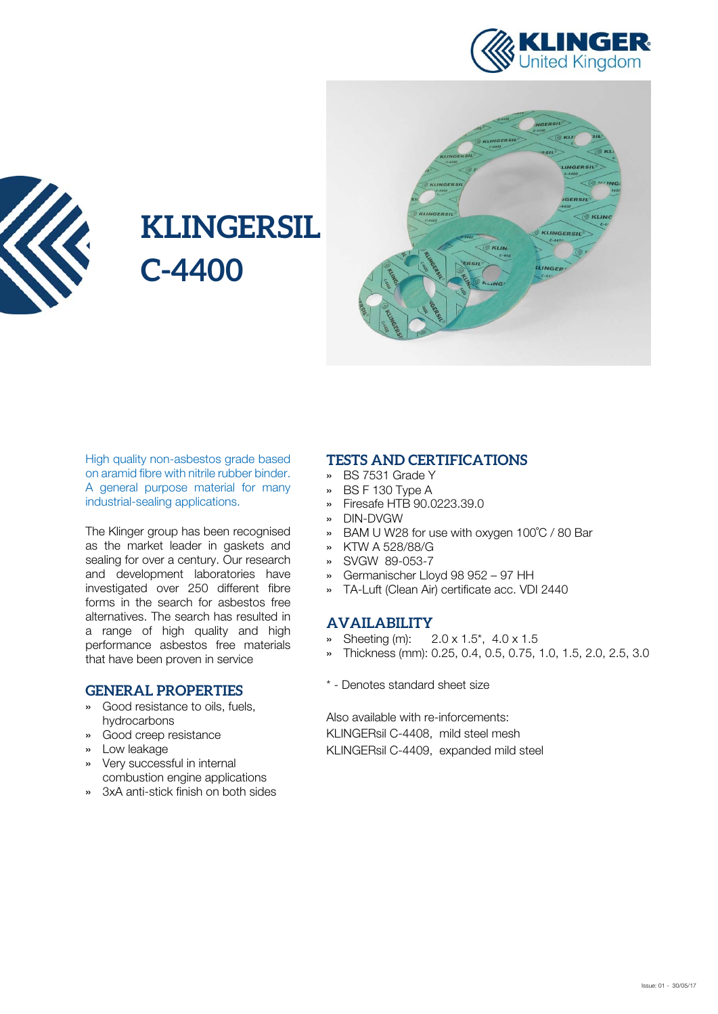



# **KLINGERSIL C-4400**

| $\sqrt{11}$                                                       | $\frac{1}{2}$<br>$C=4400$<br><b>NGERSIL</b> ®<br>$C - 4400$ |
|-------------------------------------------------------------------|-------------------------------------------------------------|
| KLINGERSIL<br>$C - 4400$                                          | <b>SIL</b><br><b>OKLI</b><br>GKLI<br><b>ERSIL</b>           |
| <b>KLINGERSIL</b><br>$C - 4400$<br>$\overline{L}$                 | <b>LINGERSIL®</b><br>$C - 4400$                             |
| <b>KLINGERSIL</b><br>$C - 4400$<br>SII                            | CHEEMGI<br>1400<br><b>JGERSIL®</b>                          |
| KLINGERSIL<br>$C - 4400$                                          | $-4400$<br><b>KLING</b><br><b>Coll</b>                      |
| $C - 4400$                                                        | $C - A$<br>KLINGERSIL®<br>$C - 4400$                        |
| <b>EXLIN</b><br>÷.<br>True Beech<br>ERSIL                         | $C - 440$                                                   |
| CARL 3<br><b>AJMIN</b><br><b>RATICAL</b><br><b>CARD</b><br>KLING! | <b>LINGER-</b><br>$C-4d$                                    |
| <b>PEG</b><br>LERSIL<br><b>PROD</b>                               |                                                             |
| JOER SIL<br><b>CAROLERS</b><br>CARO,                              |                                                             |
|                                                                   |                                                             |

High quality non-asbestos grade based on aramid fibre with nitrile rubber binder. A general purpose material for many industrial-sealing applications.

The Klinger group has been recognised as the market leader in gaskets and sealing for over a century. Our research and development laboratories have investigated over 250 different fibre forms in the search for asbestos free alternatives. The search has resulted in a range of high quality and high performance asbestos free materials that have been proven in service

#### **GENERAL PROPERTIES**

- » Good resistance to oils, fuels, hydrocarbons
- » Good creep resistance
- » Low leakage
- » Very successful in internal combustion engine applications
- » 3xA anti-stick finish on both sides

### **TESTS AND CERTIFICATIONS**

- » BS 7531 Grade Y
- » BS F 130 Type A
- » Firesafe HTB 90.0223.39.0
- » DIN-DVGW
- » BAM U W28 for use with oxygen 100˚C / 80 Bar
- » KTW A 528/88/G
- » SVGW 89-053-7
- » Germanischer Lloyd 98 952 97 HH
- » TA-Luft (Clean Air) certificate acc. VDI 2440

#### **AVAILABILITY**

- » Sheeting (m): 2.0 x 1.5\*, 4.0 x 1.5
- » Thickness (mm): 0.25, 0.4, 0.5, 0.75, 1.0, 1.5, 2.0, 2.5, 3.0

\* - Denotes standard sheet size

Also available with re-inforcements: KLINGERsil C-4408, mild steel mesh KLINGERsil C-4409, expanded mild steel